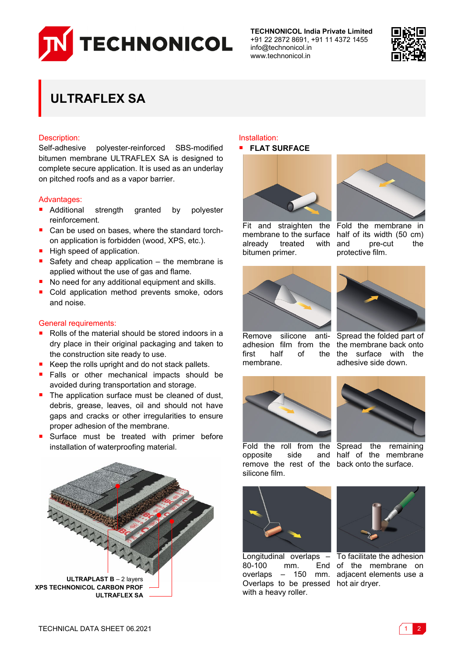

**TECHNONICOL India Private Limited** +91 22 2872 8691, +91 11 4372 1455 info@technonicol.in www.technonicol.in



# **ULTRAFLEX SA**

### Description:

Self-adhesive polyester-reinforced SBS-modified bitumen membrane ULTRAFLEX SA is designed to complete secure application. It is used as an underlay on pitched roofs and as a vapor barrier.

### Advantages:

- Additional strength granted by polyester reinforcement.
- $\blacksquare$  Can be used on bases, where the standard torchon application is forbidden (wood, XPS, etc.).
- High speed of application.
- Safety and cheap application  $-$  the membrane is applied without the use of gas and flame.
- No need for any additional equipment and skills.
- Cold application method prevents smoke, odors and noise.

### General requirements:

- Rolls of the material should be stored indoors in a dry place in their original packaging and taken to the construction site ready to use.
- Keep the rolls upright and do not stack pallets.
- Falls or other mechanical impacts should be avoided during transportation and storage.
- $\blacksquare$  The application surface must be cleaned of dust, debris, grease, leaves, oil and should not have gaps and cracks or other irregularities to ensure proper adhesion of the membrane.
- Surface must be treated with primer before installation of waterproofing material.



## Installation:

## **FLAT SURFACE**





membrane to the surface half of its width (50 cm) already treated with and bitumen primer.

Fit and straighten the Fold the membrane in pre-cut the protective film.





the membrane back onto

adhesive side down.

Remove silicone antiadhesion film from the first half of membrane. the surface with the





Fold the roll from the Spread the remaining opposite side remove the rest of the back onto the surface. silicone film. and half of the membrane



80-100 mm. Overlaps to be pressed hot air dryer. with a heavy roller.



Longitudinal overlaps – To facilitate the adhesion overlaps – 150 mm. adjacent elements use a End of the membrane on